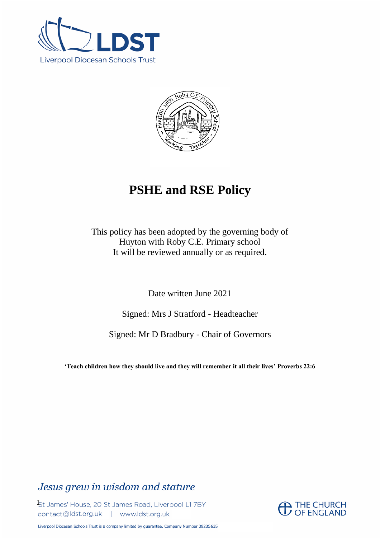



# **PSHE and RSE Policy**

This policy has been adopted by the governing body of Huyton with Roby C.E. Primary school It will be reviewed annually or as required.

Date written June 2021

Signed: Mrs J Stratford - Headteacher

Signed: Mr D Bradbury - Chair of Governors

**'Teach children how they should live and they will remember it all their lives' Proverbs 22:6**

# Jesus grew in wisdom and stature

St James' House, 20 St James Road, Liverpool L1 7BY contact@ldst.org.uk | www.ldst.org.uk

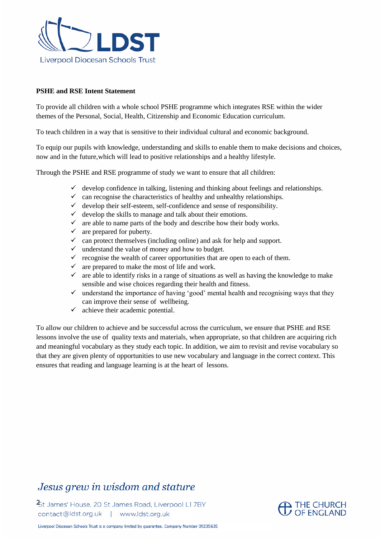

### **PSHE and RSE Intent Statement**

To provide all children with a whole school PSHE programme which integrates RSE within the wider themes of the Personal, Social, Health, Citizenship and Economic Education curriculum.

To teach children in a way that is sensitive to their individual cultural and economic background.

To equip our pupils with knowledge, understanding and skills to enable them to make decisions and choices, now and in the future,which will lead to positive relationships and a healthy lifestyle.

Through the PSHE and RSE programme of study we want to ensure that all children:

- $\checkmark$  develop confidence in talking, listening and thinking about feelings and relationships.
- $\checkmark$  can recognise the characteristics of healthy and unhealthy relationships.
- $\checkmark$  develop their self-esteem, self-confidence and sense of responsibility.
- $\checkmark$  develop the skills to manage and talk about their emotions.
- $\checkmark$  are able to name parts of the body and describe how their body works.
- $\checkmark$  are prepared for puberty.
- $\checkmark$  can protect themselves (including online) and ask for help and support.
- $\checkmark$  understand the value of money and how to budget.
- $\checkmark$  recognise the wealth of career opportunities that are open to each of them.
- $\checkmark$  are prepared to make the most of life and work.
- $\checkmark$  are able to identify risks in a range of situations as well as having the knowledge to make sensible and wise choices regarding their health and fitness.
- $\checkmark$  understand the importance of having 'good' mental health and recognising ways that they can improve their sense of wellbeing.
- $\checkmark$  achieve their academic potential.

To allow our children to achieve and be successful across the curriculum, we ensure that PSHE and RSE lessons involve the use of quality texts and materials, when appropriate, so that children are acquiring rich and meaningful vocabulary as they study each topic. In addition, we aim to revisit and revise vocabulary so that they are given plenty of opportunities to use new vocabulary and language in the correct context. This ensures that reading and language learning is at the heart of lessons.

# Jesus grew in wisdom and stature

St James' House, 20 St James Road, Liverpool L1 7BY contact@ldst.org.uk | www.ldst.org.uk

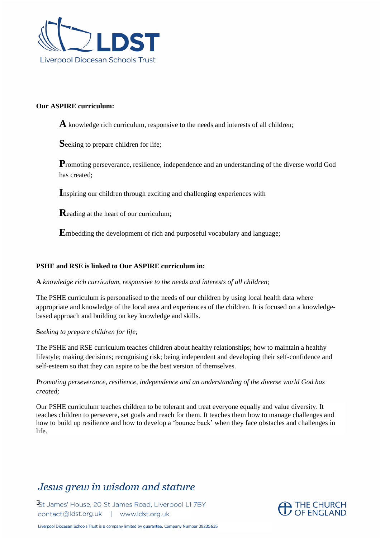

#### **Our ASPIRE curriculum:**

**A** knowledge rich curriculum, responsive to the needs and interests of all children;

**S**eeking to prepare children for life;

Promoting perseverance, resilience, independence and an understanding of the diverse world God has created;

**I**nspiring our children through exciting and challenging experiences with

**R**eading at the heart of our curriculum;

**E**mbedding the development of rich and purposeful vocabulary and language;

### **PSHE and RSE is linked to Our ASPIRE curriculum in:**

#### **A** *knowledge rich curriculum, responsive to the needs and interests of all children;*

The PSHE curriculum is personalised to the needs of our children by using local health data where appropriate and knowledge of the local area and experiences of the children. It is focused on a knowledgebased approach and building on key knowledge and skills.

#### **S***eeking to prepare children for life;*

The PSHE and RSE curriculum teaches children about healthy relationships; how to maintain a healthy lifestyle; making decisions; recognising risk; being independent and developing their self-confidence and self-esteem so that they can aspire to be the best version of themselves.

# *Promoting perseverance, resilience, independence and an understanding of the diverse world God has created;*

Our PSHE curriculum teaches children to be tolerant and treat everyone equally and value diversity. It teaches children to persevere, set goals and reach for them. It teaches them how to manage challenges and how to build up resilience and how to develop a 'bounce back' when they face obstacles and challenges in life.

# Jesus grew in wisdom and stature

St James' House, 20 St James Road, Liverpool L1 7BY contact@ldst.org.uk | www.ldst.org.uk

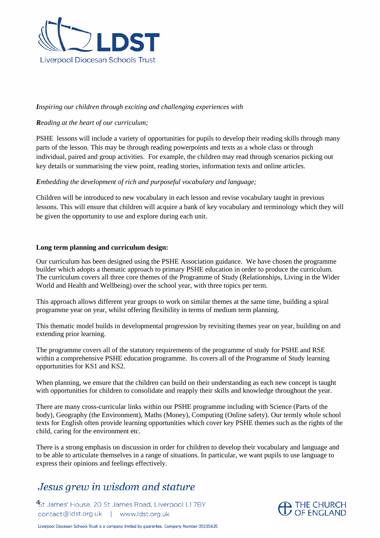

### *Inspiring our children through exciting and challenging experiences with*

### *Reading at the heart of our curriculum;*

PSHE lessons will include a variety of opportunities for pupils to develop their reading skills through many parts of the lesson. This may be through reading powerpoints and texts as a whole class or through individual, paired and group activities. For example, the children may read through scenarios picking out key details or summarising the view point, reading stories, information texts and online articles.

#### *Embedding the development of rich and purposeful vocabulary and language;*

Children will be introduced to new vocabulary in each lesson and revise vocabulary taught in previous lessons. This will ensure that children will acquire a bank of key vocabulary and terminology which they will be given the opportunity to use and explore during each unit.

#### **Long term planning and curriculum design:**

Our curriculum has been designed using the PSHE Association guidance. We have chosen the programme builder which adopts a thematic approach to primary PSHE education in order to produce the curriculum. The curriculum covers all three core themes of the Programme of Study (Relationships, Living in the Wider World and Health and Wellbeing) over the school year, with three topics per term.

This approach allows different year groups to work on similar themes at the same time, building a spiral programme year on year, whilst offering flexibility in terms of medium term planning.

This thematic model builds in developmental progression by revisiting themes year on year, building on and extending prior learning.

The programme covers all of the statutory requirements of the programme of study for PSHE and RSE within a comprehensive PSHE education programme. Its covers all of the Programme of Study learning opportunities for KS1 and KS2.

When planning, we ensure that the children can build on their understanding as each new concept is taught with opportunities for children to consolidate and reapply their skills and knowledge throughout the year.

There are many cross-curricular links within our PSHE programme including with Science (Parts of the body), Geography (the Environment), Maths (Money), Computing (Online safety). Our termly whole school texts for English often provide learning opportunities which cover key PSHE themes such as the rights of the child, caring for the environment etc.

There is a strong emphasis on discussion in order for children to develop their vocabulary and language and to be able to articulate themselves in a range of situations. In particular, we want pupils to use language to express their opinions and feelings effectively.

# Jesus grew in wisdom and stature

<sup>4</sup>St James' House, 20 St James Road, Liverpool L1 7BY contact@ldst.org.uk | www.ldst.org.uk

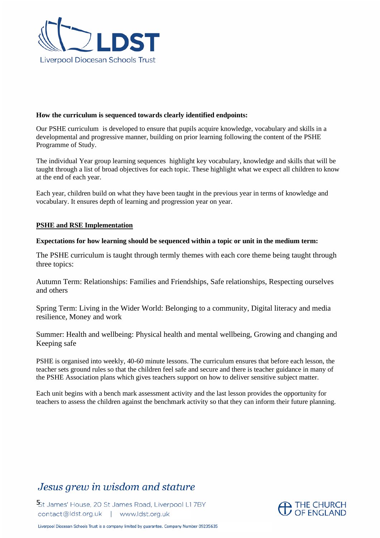

#### **How the curriculum is sequenced towards clearly identified endpoints:**

Our PSHE curriculum is developed to ensure that pupils acquire knowledge, vocabulary and skills in a developmental and progressive manner, building on prior learning following the content of the PSHE Programme of Study.

The individual Year group learning sequences highlight key vocabulary, knowledge and skills that will be taught through a list of broad objectives for each topic. These highlight what we expect all children to know at the end of each year.

Each year, children build on what they have been taught in the previous year in terms of knowledge and vocabulary. It ensures depth of learning and progression year on year.

#### **PSHE and RSE Implementation**

#### **Expectations for how learning should be sequenced within a topic or unit in the medium term:**

The PSHE curriculum is taught through termly themes with each core theme being taught through three topics:

Autumn Term: Relationships: Families and Friendships, Safe relationships, Respecting ourselves and others

Spring Term: Living in the Wider World: Belonging to a community, Digital literacy and media resilience, Money and work

Summer: Health and wellbeing: Physical health and mental wellbeing, Growing and changing and Keeping safe

PSHE is organised into weekly, 40-60 minute lessons. The curriculum ensures that before each lesson, the teacher sets ground rules so that the children feel safe and secure and there is teacher guidance in many of the PSHE Association plans which gives teachers support on how to deliver sensitive subject matter.

Each unit begins with a bench mark assessment activity and the last lesson provides the opportunity for teachers to assess the children against the benchmark activity so that they can inform their future planning.

# Jesus grew in wisdom and stature

St James' House, 20 St James Road, Liverpool L1 7BY contact@ldst.org.uk | www.ldst.org.uk

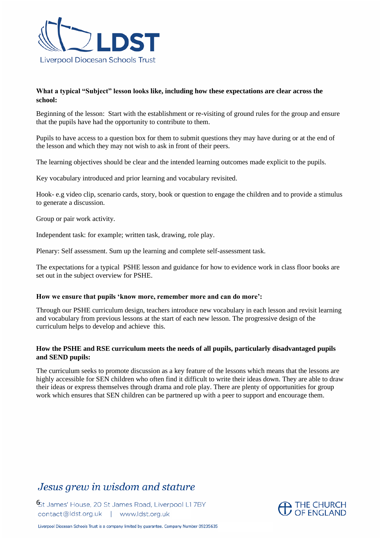

## **What a typical "Subject" lesson looks like, including how these expectations are clear across the school:**

Beginning of the lesson: Start with the establishment or re-visiting of ground rules for the group and ensure that the pupils have had the opportunity to contribute to them.

Pupils to have access to a question box for them to submit questions they may have during or at the end of the lesson and which they may not wish to ask in front of their peers.

The learning objectives should be clear and the intended learning outcomes made explicit to the pupils.

Key vocabulary introduced and prior learning and vocabulary revisited.

Hook- e.g video clip, scenario cards, story, book or question to engage the children and to provide a stimulus to generate a discussion.

Group or pair work activity.

Independent task: for example; written task, drawing, role play.

Plenary: Self assessment. Sum up the learning and complete self-assessment task.

The expectations for a typical PSHE lesson and guidance for how to evidence work in class floor books are set out in the subject overview for PSHE.

#### **How we ensure that pupils 'know more, remember more and can do more':**

Through our PSHE curriculum design, teachers introduce new vocabulary in each lesson and revisit learning and vocabulary from previous lessons at the start of each new lesson. The progressive design of the curriculum helps to develop and achieve this.

### **How the PSHE and RSE curriculum meets the needs of all pupils, particularly disadvantaged pupils and SEND pupils:**

The curriculum seeks to promote discussion as a key feature of the lessons which means that the lessons are highly accessible for SEN children who often find it difficult to write their ideas down. They are able to draw their ideas or express themselves through drama and role play. There are plenty of opportunities for group work which ensures that SEN children can be partnered up with a peer to support and encourage them.

# Jesus grew in wisdom and stature

<sup>6</sup>St James' House, 20 St James Road, Liverpool L1 7BY contact@ldst.org.uk | www.ldst.org.uk

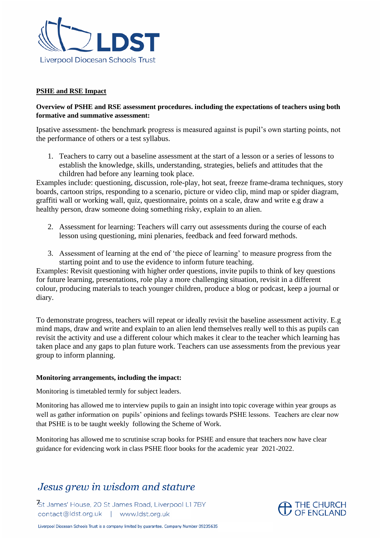

### **PSHE and RSE Impact**

## **Overview of PSHE and RSE assessment procedures. including the expectations of teachers using both formative and summative assessment:**

Ipsative assessment- the benchmark progress is measured against is pupil's own starting points, not the performance of others or a test syllabus.

1. Teachers to carry out a baseline assessment at the start of a lesson or a series of lessons to establish the knowledge, skills, understanding, strategies, beliefs and attitudes that the children had before any learning took place.

Examples include: questioning, discussion, role-play, hot seat, freeze frame-drama techniques, story boards, cartoon strips, responding to a scenario, picture or video clip, mind map or spider diagram, graffiti wall or working wall, quiz, questionnaire, points on a scale, draw and write e.g draw a healthy person, draw someone doing something risky, explain to an alien.

- 2. Assessment for learning: Teachers will carry out assessments during the course of each lesson using questioning, mini plenaries, feedback and feed forward methods.
- 3. Assessment of learning at the end of 'the piece of learning' to measure progress from the starting point and to use the evidence to inform future teaching.

Examples: Revisit questioning with higher order questions, invite pupils to think of key questions for future learning, presentations, role play a more challenging situation, revisit in a different colour, producing materials to teach younger children, produce a blog or podcast, keep a journal or diary.

To demonstrate progress, teachers will repeat or ideally revisit the baseline assessment activity. E.g mind maps, draw and write and explain to an alien lend themselves really well to this as pupils can revisit the activity and use a different colour which makes it clear to the teacher which learning has taken place and any gaps to plan future work. Teachers can use assessments from the previous year group to inform planning.

#### **Monitoring arrangements, including the impact:**

Monitoring is timetabled termly for subject leaders.

Monitoring has allowed me to interview pupils to gain an insight into topic coverage within year groups as well as gather information on pupils' opinions and feelings towards PSHE lessons. Teachers are clear now that PSHE is to be taught weekly following the Scheme of Work.

Monitoring has allowed me to scrutinise scrap books for PSHE and ensure that teachers now have clear guidance for evidencing work in class PSHE floor books for the academic year 2021-2022.

# Jesus grew in wisdom and stature

St James' House, 20 St James Road, Liverpool L17BY contact@ldst.org.uk | www.ldst.org.uk